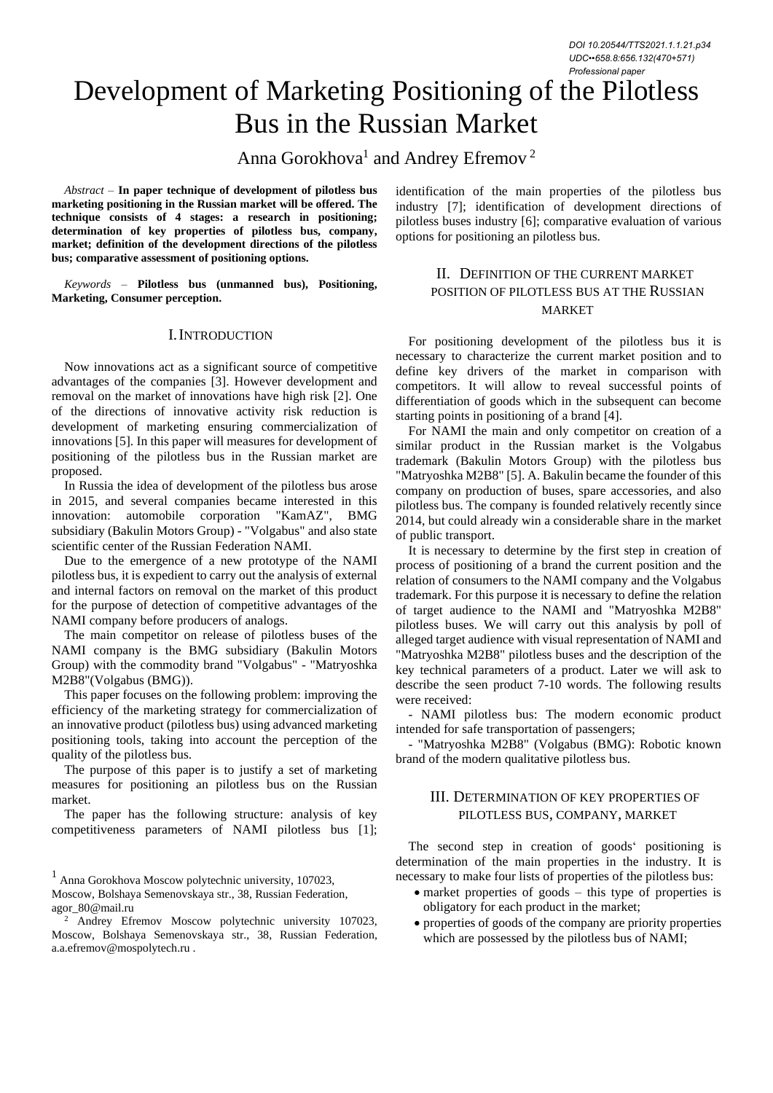*DOI 10.20544/TTS2021.1.1.21.p34 UDC••658.8:656.132(470+571) Professional paper*

# Development of Marketing Positioning of the Pilotless Bus in the Russian Market

Anna Gorokhova<sup>1</sup> and Andrey Efremov<sup>2</sup>

*Abstract –* **In paper technique of development of pilotless bus marketing positioning in the Russian market will be offered. The technique consists of 4 stages: a research in positioning; determination of key properties of pilotless bus, company, market; definition of the development directions of the pilotless bus; comparative assessment of positioning options.**

*Keywords –* **Pilotless bus (unmanned bus), Positioning, Marketing, Consumer perception.**

#### I.INTRODUCTION

Now innovations act as a significant source of competitive advantages of the companies [3]. However development and removal on the market of innovations have high risk [2]. One of the directions of innovative activity risk reduction is development of marketing ensuring commercialization of innovations [5]. In this paper will measures for development of positioning of the pilotless bus in the Russian market are proposed.

In Russia the idea of development of the pilotless bus arose in 2015, and several companies became interested in this innovation: automobile corporation "KamAZ", BMG subsidiary (Bakulin Motors Group) - "Volgabus" and also state scientific center of the Russian Federation NAMI.

Due to the emergence of a new prototype of the NAMI pilotless bus, it is expedient to carry out the analysis of external and internal factors on removal on the market of this product for the purpose of detection of competitive advantages of the NAMI company before producers of analogs.

The main competitor on release of pilotless buses of the NAMI company is the BMG subsidiary (Bakulin Motors Group) with the commodity brand "Volgabus" - "Matryoshka M2B8"(Volgabus (BMG)).

This paper focuses on the following problem: improving the efficiency of the marketing strategy for commercialization of an innovative product (pilotless bus) using advanced marketing positioning tools, taking into account the perception of the quality of the pilotless bus.

The purpose of this paper is to justify a set of marketing measures for positioning an pilotless bus on the Russian market.

The paper has the following structure: analysis of key competitiveness parameters of NAMI pilotless bus [1];

<sup>1</sup> Anna Gorokhova Moscow polytechnic university, 107023,

Moscow, Bolshaya Semenovskaya str., 38, Russian Federation, agor\_80@mail.ru

identification of the main properties of the pilotless bus industry [7]; identification of development directions of pilotless buses industry [6]; comparative evaluation of various options for positioning an pilotless bus.

## II. DEFINITION OF THE CURRENT MARKET POSITION OF PILOTLESS BUS AT THE RUSSIAN MARKET

For positioning development of the pilotless bus it is necessary to characterize the current market position and to define key drivers of the market in comparison with competitors. It will allow to reveal successful points of differentiation of goods which in the subsequent can become starting points in positioning of a brand [4].

For NAMI the main and only competitor on creation of a similar product in the Russian market is the Volgabus trademark (Bakulin Motors Group) with the pilotless bus "Matryoshka M2B8" [5]. A. Bakulin became the founder of this company on production of buses, spare accessories, and also pilotless bus. The company is founded relatively recently since 2014, but could already win a considerable share in the market of public transport.

It is necessary to determine by the first step in creation of process of positioning of a brand the current position and the relation of consumers to the NAMI company and the Volgabus trademark. For this purpose it is necessary to define the relation of target audience to the NAMI and "Matryoshka M2B8" pilotless buses. We will carry out this analysis by poll of alleged target audience with visual representation of NAMI and "Matryoshka M2B8" pilotless buses and the description of the key technical parameters of a product. Later we will ask to describe the seen product 7-10 words. The following results were received:

- NAMI pilotless bus: The modern economic product intended for safe transportation of passengers;

- "Matryoshka M2B8" (Volgabus (BMG): Robotic known brand of the modern qualitative pilotless bus.

#### III. DETERMINATION OF KEY PROPERTIES OF PILOTLESS BUS, COMPANY, MARKET

The second step in creation of goods' positioning is determination of the main properties in the industry. It is necessary to make four lists of properties of the pilotless bus:

- market properties of goods this type of properties is obligatory for each product in the market;
- properties of goods of the company are priority properties which are possessed by the pilotless bus of NAMI;

<sup>2</sup> Andrey Efremov Moscow polytechnic university 107023, Moscow, Bolshaya Semenovskaya str., 38, Russian Federation, a.a.efremov@mospolytech.ru .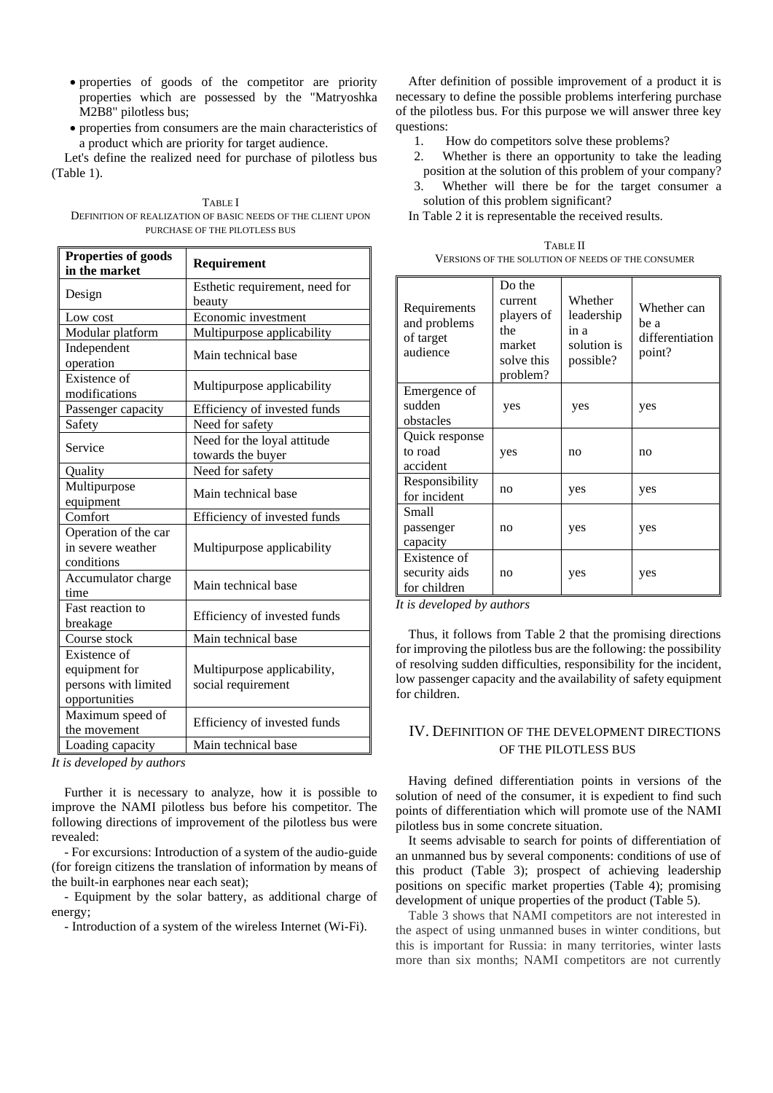- properties of goods of the competitor are priority properties which are possessed by the "Matryoshka M2B8" pilotless bus;
- properties from consumers are the main characteristics of a product which are priority for target audience.

Let's define the realized need for purchase of pilotless bus (Table 1).

TABLE I DEFINITION OF REALIZATION OF BASIC NEEDS OF THE CLIENT LIPON PURCHASE OF THE PILOTLESS BUS

| Properties of goods<br>in the market                                   | Requirement                                       |
|------------------------------------------------------------------------|---------------------------------------------------|
| Design                                                                 | Esthetic requirement, need for<br>beauty          |
| Low cost                                                               | Economic investment                               |
| Modular platform                                                       | Multipurpose applicability                        |
| Independent<br>operation                                               | Main technical base                               |
| Existence of<br>modifications                                          | Multipurpose applicability                        |
| Passenger capacity                                                     | Efficiency of invested funds                      |
| Safety                                                                 | Need for safety                                   |
| Service                                                                | Need for the loyal attitude<br>towards the buyer  |
| Quality                                                                | Need for safety                                   |
| Multipurpose<br>equipment                                              | Main technical base                               |
| Comfort                                                                | Efficiency of invested funds                      |
| Operation of the car<br>in severe weather<br>conditions                | Multipurpose applicability                        |
| Accumulator charge<br>time                                             | Main technical base                               |
| Fast reaction to<br>breakage                                           | Efficiency of invested funds                      |
| Course stock                                                           | Main technical base                               |
| Existence of<br>equipment for<br>persons with limited<br>opportunities | Multipurpose applicability,<br>social requirement |
| Maximum speed of<br>the movement                                       | Efficiency of invested funds                      |
| Loading capacity                                                       | Main technical base                               |

*It is developed by authors*

Further it is necessary to analyze, how it is possible to improve the NAMI pilotless bus before his competitor. The following directions of improvement of the pilotless bus were revealed:

- For excursions: Introduction of a system of the audio-guide (for foreign citizens the translation of information by means of the built-in earphones near each seat);

- Equipment by the solar battery, as additional charge of energy;

- Introduction of a system of the wireless Internet (Wi-Fi).

After definition of possible improvement of a product it is necessary to define the possible problems interfering purchase of the pilotless bus. For this purpose we will answer three key questions:

- 1. How do competitors solve these problems?
- 2. Whether is there an opportunity to take the leading position at the solution of this problem of your company?
- 3. Whether will there be for the target consumer a solution of this problem significant?

In Table 2 it is representable the received results.

| TABLE II                                          |
|---------------------------------------------------|
| VERSIONS OF THE SOLUTION OF NEEDS OF THE CONSUMER |
|                                                   |

| Requirements<br>and problems<br>of target<br>audience | Do the<br>current<br>players of<br>the<br>market<br>solve this<br>problem? | Whether<br>leadership<br>in a<br>solution is<br>possible? | Whether can<br>be a<br>differentiation<br>point? |
|-------------------------------------------------------|----------------------------------------------------------------------------|-----------------------------------------------------------|--------------------------------------------------|
| Emergence of                                          |                                                                            |                                                           |                                                  |
| sudden                                                | yes                                                                        | yes                                                       | yes                                              |
| obstacles                                             |                                                                            |                                                           |                                                  |
| Quick response                                        |                                                                            |                                                           |                                                  |
| to road                                               | yes                                                                        | no                                                        | no                                               |
| accident                                              |                                                                            |                                                           |                                                  |
| Responsibility                                        |                                                                            |                                                           |                                                  |
| for incident                                          | no                                                                         | yes                                                       | yes                                              |
| Small                                                 |                                                                            |                                                           |                                                  |
| passenger                                             | no                                                                         | yes                                                       | yes                                              |
| capacity                                              |                                                                            |                                                           |                                                  |
| Existence of                                          |                                                                            |                                                           |                                                  |
| security aids                                         | no                                                                         | yes                                                       | yes                                              |
| for children                                          |                                                                            |                                                           |                                                  |

*It is developed by authors*

Thus, it follows from Table 2 that the promising directions for improving the pilotless bus are the following: the possibility of resolving sudden difficulties, responsibility for the incident, low passenger capacity and the availability of safety equipment for children.

## IV. DEFINITION OF THE DEVELOPMENT DIRECTIONS OF THE PILOTLESS BUS

Having defined differentiation points in versions of the solution of need of the consumer, it is expedient to find such points of differentiation which will promote use of the NAMI pilotless bus in some concrete situation.

It seems advisable to search for points of differentiation of an unmanned bus by several components: conditions of use of this product (Table 3); prospect of achieving leadership positions on specific market properties (Table 4); promising development of unique properties of the product (Table 5).

Table 3 shows that NAMI competitors are not interested in the aspect of using unmanned buses in winter conditions, but this is important for Russia: in many territories, winter lasts more than six months; NAMI competitors are not currently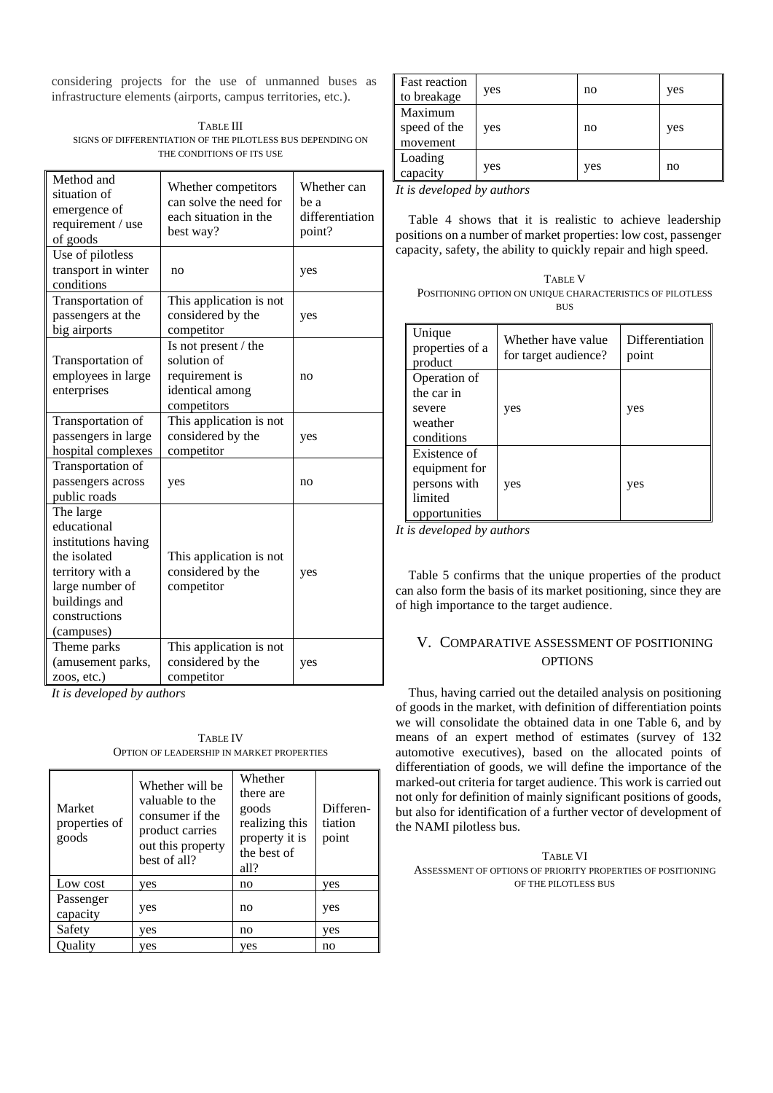considering projects for the use of unmanned buses as infrastructure elements (airports, campus territories, etc.).

TABLE III SIGNS OF DIFFERENTIATION OF THE PILOTLESS BUS DEPENDING ON THE CONDITIONS OF ITS USE

| Method and<br>situation of<br>emergence of<br>requirement / use<br>of goods                                                                            | Whether competitors<br>can solve the need for<br>each situation in the<br>best way?     | Whether can<br>be a<br>differentiation<br>point? |
|--------------------------------------------------------------------------------------------------------------------------------------------------------|-----------------------------------------------------------------------------------------|--------------------------------------------------|
| Use of pilotless<br>transport in winter<br>conditions                                                                                                  | no                                                                                      | yes                                              |
| Transportation of<br>passengers at the<br>big airports                                                                                                 | This application is not<br>considered by the<br>competitor                              | yes                                              |
| Transportation of<br>employees in large<br>enterprises                                                                                                 | Is not present / the<br>solution of<br>requirement is<br>identical among<br>competitors | no                                               |
| Transportation of<br>passengers in large<br>hospital complexes                                                                                         | This application is not<br>considered by the<br>competitor                              | yes                                              |
| Transportation of<br>passengers across<br>public roads                                                                                                 | yes                                                                                     | no                                               |
| The large<br>educational<br>institutions having<br>the isolated<br>territory with a<br>large number of<br>buildings and<br>constructions<br>(campuses) | This application is not<br>considered by the<br>competitor                              | yes                                              |
| Theme parks<br>(amusement parks,<br>zoos, etc.)                                                                                                        | This application is not<br>considered by the<br>competitor                              | yes                                              |

*It is developed by authors*

TABLE IV OPTION OF LEADERSHIP IN MARKET PROPERTIES

| Market<br>properties of<br>goods | Whether will be<br>valuable to the<br>consumer if the<br>product carries<br>out this property<br>best of all? | Whether<br>there are<br>goods<br>realizing this<br>property it is<br>the best of<br>all? | Differen-<br>tiation<br>point |
|----------------------------------|---------------------------------------------------------------------------------------------------------------|------------------------------------------------------------------------------------------|-------------------------------|
| Low cost                         | yes                                                                                                           | no                                                                                       | yes                           |
| Passenger<br>capacity            | yes                                                                                                           | no                                                                                       | yes                           |
| Safety                           | yes                                                                                                           | no                                                                                       | yes                           |
| Ouality                          | yes                                                                                                           | yes                                                                                      | no                            |

| <b>Fast reaction</b>                | yes | no  | yes |
|-------------------------------------|-----|-----|-----|
| to breakage                         |     |     |     |
| Maximum<br>speed of the<br>movement | yes | no  | yes |
| Loading<br>capacity                 | yes | yes | no  |

*It is developed by authors*

Table 4 shows that it is realistic to achieve leadership positions on a number of market properties: low cost, passenger capacity, safety, the ability to quickly repair and high speed.

| <b>TABLE V</b>                                            |
|-----------------------------------------------------------|
| POSITIONING OPTION ON UNIQUE CHARACTERISTICS OF PILOTLESS |
| BUS                                                       |

| Unique<br>properties of a<br>product                                      | Whether have value<br>for target audience? | Differentiation<br>point |
|---------------------------------------------------------------------------|--------------------------------------------|--------------------------|
| Operation of<br>the car in<br>severe<br>weather<br>conditions             | yes                                        | yes                      |
| Existence of<br>equipment for<br>persons with<br>limited<br>opportunities | yes                                        | yes                      |

*It is developed by authors*

Table 5 confirms that the unique properties of the product can also form the basis of its market positioning, since they are of high importance to the target audience.

## V. COMPARATIVE ASSESSMENT OF POSITIONING **OPTIONS**

Thus, having carried out the detailed analysis on positioning of goods in the market, with definition of differentiation points we will consolidate the obtained data in one Table 6, and by means of an expert method of estimates (survey of 132 automotive executives), based on the allocated points of differentiation of goods, we will define the importance of the marked-out criteria for target audience. This work is carried out not only for definition of mainly significant positions of goods, but also for identification of a further vector of development of the NAMI pilotless bus.

TABLE VI ASSESSMENT OF OPTIONS OF PRIORITY PROPERTIES OF POSITIONING OF THE PILOTLESS BUS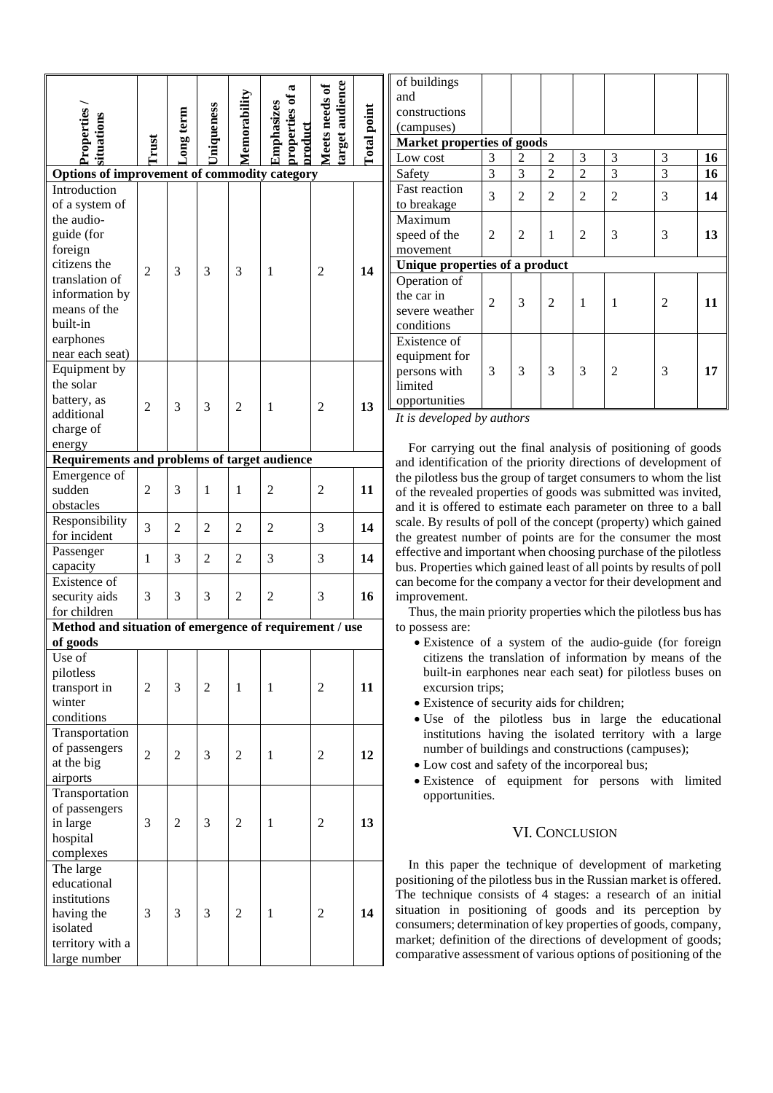|                                                        |                |                |                   |                |                                        |                                  |                    | of buildings             |                |
|--------------------------------------------------------|----------------|----------------|-------------------|----------------|----------------------------------------|----------------------------------|--------------------|--------------------------|----------------|
|                                                        |                |                |                   |                | ದ                                      |                                  |                    | and                      |                |
|                                                        |                |                |                   |                |                                        |                                  |                    | constructions            |                |
|                                                        |                |                |                   |                |                                        |                                  |                    | (campuses)               |                |
|                                                        |                |                |                   |                |                                        |                                  |                    | <b>Market properties</b> |                |
| Properties<br>situations                               | Trust          | may term       | <b>Jniqueness</b> | Memorability   | properties of<br>Emphasizes<br>product | arget audience<br>Meets needs of | <b>Total point</b> | Low cost                 | 3              |
|                                                        |                |                |                   |                |                                        |                                  |                    |                          | 3              |
| Options of improvement of commodity category           |                |                |                   |                |                                        |                                  |                    | Safety                   |                |
| Introduction                                           |                |                |                   |                |                                        |                                  |                    | Fast reaction            | 3              |
| of a system of                                         |                |                |                   |                |                                        |                                  |                    | to breakage              |                |
| the audio-                                             |                |                |                   |                |                                        |                                  |                    | Maximum                  |                |
| guide (for                                             |                |                |                   |                |                                        |                                  |                    | speed of the             | $\overline{2}$ |
| foreign<br>citizens the                                |                |                |                   |                |                                        |                                  |                    | movement                 |                |
|                                                        | $\overline{2}$ | 3              | 3                 | 3              | 1                                      | $\overline{2}$                   | 14                 | Unique properties of     |                |
| translation of                                         |                |                |                   |                |                                        |                                  |                    | Operation of             |                |
| information by                                         |                |                |                   |                |                                        |                                  |                    | the car in               | $\overline{2}$ |
| means of the                                           |                |                |                   |                |                                        |                                  |                    | severe weather           |                |
| built-in                                               |                |                |                   |                |                                        |                                  |                    | conditions               |                |
| earphones                                              |                |                |                   |                |                                        |                                  |                    | Existence of             |                |
| near each seat)                                        |                |                |                   |                |                                        |                                  |                    | equipment for            |                |
| Equipment by                                           |                |                |                   |                |                                        |                                  |                    | persons with             | 3              |
| the solar                                              |                |                |                   |                |                                        |                                  |                    | limited                  |                |
| battery, as                                            | $\overline{2}$ | 3              | 3                 | $\overline{c}$ | 1                                      | $\overline{2}$                   | 13                 | opportunities            |                |
| additional                                             |                |                |                   |                |                                        |                                  |                    | It is developed by au.   |                |
| charge of                                              |                |                |                   |                |                                        |                                  |                    |                          |                |
| energy                                                 |                |                |                   |                |                                        |                                  |                    | For carrying out t       |                |
| Requirements and problems of target audience           |                |                |                   |                |                                        |                                  |                    | and identification of    |                |
| Emergence of                                           |                |                |                   |                |                                        |                                  |                    | the pilotless bus the g  |                |
| sudden                                                 | $\overline{2}$ | 3              | 1                 | 1              | $\overline{2}$                         | $\overline{c}$                   | 11                 | of the revealed prope    |                |
| obstacles                                              |                |                |                   |                |                                        |                                  |                    | and it is offered to e   |                |
| Responsibility                                         | 3              | $\overline{2}$ | 2                 | 2              | 2                                      | 3                                | 14                 | scale. By results of p   |                |
| for incident                                           |                |                |                   |                |                                        |                                  |                    | the greatest number      |                |
| Passenger                                              | $\mathbf{1}$   | 3              | $\mathfrak{2}$    | $\overline{c}$ | 3                                      | 3                                | 14                 | effective and importa    |                |
| capacity                                               |                |                |                   |                |                                        |                                  |                    | bus. Properties which    |                |
| Existence of                                           |                |                |                   |                |                                        |                                  |                    | can become for the co    |                |
| security aids                                          | 3              | 3              | 3                 | $\overline{c}$ | $\overline{c}$                         | 3                                | 16                 | improvement.             |                |
| for children                                           |                |                |                   |                |                                        |                                  |                    | Thus, the main prio      |                |
| Method and situation of emergence of requirement / use |                |                |                   |                |                                        |                                  |                    | to possess are:          |                |
| of goods                                               |                |                |                   |                |                                        |                                  |                    | • Existence of a         |                |
| Use of                                                 |                |                |                   |                |                                        |                                  |                    | citizens the tra         |                |
| pilotless                                              |                |                |                   |                |                                        |                                  |                    | built-in earphor         |                |
| transport in                                           | $\overline{2}$ | 3              | $\overline{2}$    | $\mathbf{1}$   | 1                                      | $\overline{c}$                   | 11                 | excursion trips;         |                |
| winter                                                 |                |                |                   |                |                                        |                                  |                    | • Existence of see       |                |
| conditions                                             |                |                |                   |                |                                        |                                  |                    | · Use of the p           |                |
| Transportation                                         |                |                |                   |                |                                        |                                  |                    | institutions hav         |                |
| of passengers                                          |                |                |                   |                |                                        |                                  |                    | number of build          |                |
| at the big                                             | $\overline{2}$ | $\overline{c}$ | 3                 | $\overline{c}$ | 1                                      | 2                                | 12                 | • Low cost and sa        |                |
| airports                                               |                |                |                   |                |                                        |                                  |                    | $\bullet$ Existence of   |                |
| Transportation                                         |                |                |                   |                |                                        |                                  |                    |                          |                |
| of passengers                                          |                |                |                   |                |                                        |                                  |                    | opportunities.           |                |
| in large                                               | 3              | 2              | 3                 | $\overline{c}$ | 1                                      | 2                                | 13                 |                          |                |
| hospital                                               |                |                |                   |                |                                        |                                  |                    |                          |                |
|                                                        |                |                |                   |                |                                        |                                  |                    |                          |                |
| complexes                                              |                |                |                   |                |                                        |                                  |                    | In this paper the        |                |
| The large                                              |                |                |                   |                |                                        |                                  |                    | positioning of the pile  |                |
| educational                                            |                |                |                   |                |                                        |                                  |                    | The technique consi      |                |
| institutions                                           |                |                |                   |                |                                        |                                  |                    | situation in positio     |                |
| having the                                             | 3              | 3              | 3                 | $\overline{c}$ | $\mathbf{1}$                           | $\overline{c}$                   | 14                 | consumers; determin      |                |
| isolated                                               |                |                |                   |                |                                        |                                  |                    | market; definition of    |                |
| territory with a                                       |                |                |                   |                |                                        |                                  |                    | comparative assessm      |                |
| large number                                           |                |                |                   |                |                                        |                                  |                    |                          |                |

| of buildings                   |                |   |                |                |                |   |    |
|--------------------------------|----------------|---|----------------|----------------|----------------|---|----|
| and                            |                |   |                |                |                |   |    |
| constructions                  |                |   |                |                |                |   |    |
| (campuses)                     |                |   |                |                |                |   |    |
| Market properties of goods     |                |   |                |                |                |   |    |
| Low cost                       | 3              | 2 | 2              | 3              | 3              | 3 | 16 |
| Safety                         | 3              | 3 | $\overline{2}$ | $\overline{2}$ | 3              | 3 | 16 |
| Fast reaction                  | 3              | 2 | $\overline{c}$ | 2              | $\overline{2}$ | 3 | 14 |
| to breakage                    |                |   |                |                |                |   |    |
| Maximum                        |                |   |                |                |                |   |    |
| speed of the                   | $\overline{c}$ | 2 | 1              | 2              | 3              | 3 | 13 |
| movement                       |                |   |                |                |                |   |    |
| Unique properties of a product |                |   |                |                |                |   |    |
| Operation of                   |                |   |                |                |                |   |    |
| the car in                     | $\overline{c}$ | 3 | $\overline{c}$ | 1              |                | 2 | 11 |
| severe weather                 |                |   |                |                | 1              |   |    |
| conditions                     |                |   |                |                |                |   |    |
| Existence of                   |                |   |                |                |                |   |    |
| equipment for                  |                |   |                |                |                |   |    |
| persons with                   | 3              | 3 | 3              | 3              | 2              | 3 | 17 |
| limited                        |                |   |                |                |                |   |    |
| opportunities                  |                |   |                |                |                |   |    |
| $\sim$ $\sim$ $\sim$           |                |   |                |                |                |   |    |

*It is developed by authors*

he final analysis of positioning of goods the priority directions of development of the proup of target consumers to whom the list erties of goods was submitted was invited, stimate each parameter on three to a ball oll of the concept (property) which gained of points are for the consumer the most ent when choosing purchase of the pilotless is gained least of all points by results of poll ompany a vector for their development and

ority properties which the pilotless bus has

- system of the audio-guide (for foreign nslation of information by means of the here near each seat) for pilotless buses on
- eurity aids for children;
- bilotless bus in large the educational ving the isolated territory with a large lings and constructions (campuses);
- afety of the incorporeal bus;
- equipment for persons with limited

### VI. CONCLUSION

technique of development of marketing potless bus in the Russian market is offered. ists of 4 stages: a research of an initial ning of goods and its perception by ation of key properties of goods, company, if the directions of development of goods; ent of various options of positioning of the